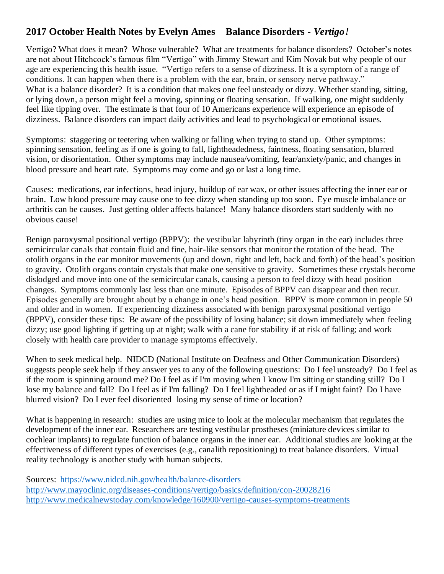## **2017 October Health Notes by Evelyn Ames Balance Disorders -** *Vertigo!*

Vertigo? What does it mean? Whose vulnerable? What are treatments for balance disorders? October's notes are not about Hitchcock's famous film "Vertigo" with Jimmy Stewart and Kim Novak but why people of our age are experiencing this health issue. "Vertigo refers to a sense of dizziness. It is a symptom of a range of conditions. It can happen when there is a problem with the ear, brain, or sensory nerve pathway." What is a balance disorder? It is a condition that makes one feel unsteady or dizzy. Whether standing, sitting, or lying down, a person might feel a moving, spinning or floating sensation. If walking, one might suddenly feel like tipping over. The estimate is that four of 10 Americans experience will experience an episode of dizziness. Balance disorders can impact daily activities and lead to psychological or emotional issues.

Symptoms: staggering or teetering when walking or falling when trying to stand up. Other symptoms: spinning sensation, feeling as if one is going to fall, lightheadedness, faintness, floating sensation, blurred vision, or disorientation. Other symptoms may include nausea/vomiting, fear/anxiety/panic, and changes in blood pressure and heart rate. Symptoms may come and go or last a long time.

Causes: medications, ear infections, head injury, buildup of ear wax, or other issues affecting the inner ear or brain. Low blood pressure may cause one to fee dizzy when standing up too soon. Eye muscle imbalance or arthritis can be causes. Just getting older affects balance! Many balance disorders start suddenly with no obvious cause!

Benign paroxysmal positional vertigo (BPPV): the vestibular labyrinth (tiny organ in the ear) includes three semicircular canals that contain fluid and fine, hair-like sensors that monitor the rotation of the head. The otolith organs in the ear monitor movements (up and down, right and left, back and forth) of the head's position to gravity. Otolith organs contain crystals that make one sensitive to gravity. Sometimes these crystals become dislodged and move into one of the semicircular canals, causing a person to feel dizzy with head position changes. Symptoms commonly last less than one minute. Episodes of BPPV can disappear and then recur. Episodes generally are brought about by a change in one's head position. BPPV is more common in people 50 and older and in women. If experiencing dizziness associated with benign paroxysmal positional vertigo (BPPV), consider these tips: Be aware of the possibility of losing balance; sit down immediately when feeling dizzy; use good lighting if getting up at night; walk with a cane for stability if at risk of falling; and work closely with health care provider to manage symptoms effectively.

When to seek medical help. NIDCD (National Institute on Deafness and Other Communication Disorders) suggests people seek help if they answer yes to any of the following questions: Do I feel unsteady? Do I feel as if the room is spinning around me? Do I feel as if I'm moving when I know I'm sitting or standing still? Do I lose my balance and fall? Do I feel as if I'm falling? Do I feel lightheaded or as if I might faint? Do I have blurred vision? Do I ever feel disoriented–losing my sense of time or location?

What is happening in research: studies are using mice to look at the molecular mechanism that regulates the development of the inner ear. Researchers are testing vestibular prostheses (miniature devices similar to cochlear implants) to regulate function of balance organs in the inner ear. Additional studies are looking at the effectiveness of different types of exercises (e.g., canalith repositioning) to treat balance disorders. Virtual reality technology is another study with human subjects.

Sources: <https://www.nidcd.nih.gov/health/balance-disorders> <http://www.mayoclinic.org/diseases-conditions/vertigo/basics/definition/con-20028216> http://www.medicalnewstoday.com/knowledge/160900/vertigo-causes-symptoms-treatments